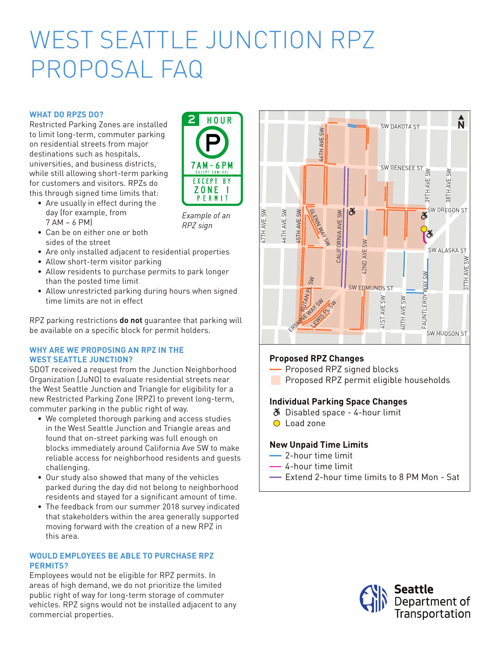# WEST SEATTLE JUNCTION RPZ PROPOSAL FAQ

# **WHAT DO RPZS DO?**

Restricted Parking Zones are installed<br>to limit lang term commuter porking to limit long-term, commuter parking  $\mathcal{L}_{\text{on}}$  residential streets from major  $\mathcal{L}_{\text{on}}$   $\mathcal{L}_{\text{on}}$ destinations such as hospitals, universities, and business districts,  $\overline{7AM-6}$ while still allowing short-term parking  $\begin{bmatrix} 1 & \text{if } \\ \text{if } \\ \text{if } \\ \text{if } \\ \text{if } \\ \text{if } \\ \text{if } \\ \text{if } \\ \text{if } \\ \text{if } \\ \text{if } \\ \text{if } \\ \text{if } \\ \text{if } \\ \text{if } \\ \text{if } \\ \text{if } \\ \text{if } \\ \text{if } \\ \text{if } \\ \text{if } \\ \text{if } \\ \text{if } \\ \text{if } \\ \text{if } \\ \text{if } \\ \text{if } \\ \text{if } \\ \text{$ for customers and visitors. RPZs do  $\begin{bmatrix} \text{EXC EPI} \\ \text{Z O.} \end{bmatrix}$ this through signed time limits that:  $\begin{bmatrix} 1 & 0 \\ 0 & 0 \end{bmatrix}$ 

- Are usually in effect during the **the proposed changes** day (for example, from example of 7 AM – 6 PM)
- Can be on either one or both details www.seattle.gov/transportation/WSParking. sides of the street
- Are only installed adjacent to residential properties
- $\bullet$  Allow short-term visitor parking
- Allow residents to purchase permits to park longer than the posted time limit
- $\bullet$  Allow unrestricted parking during hours when signed time limits are not in effect

RPZ parking restrictions **do not** guarantee that parking will be available on a specific block for permit holders.

## WHY ARE WE PROPOSING AN RPZ IN THE **WEST SEATTLE JUNCTION?**

SDOT received a request from the Junction Neighborhood Organization (JuNO) to evaluate residential streets near the West Seattle Junction and Triangle for eligibility for a new Restricted Parking Zone (RPZ) to prevent long-term, commuter parking in the public right of way.

- We completed thorough parking and access studies in the West Seattle Junction and Triangle areas and found that on-street parking was full enough on blocks immediately around California Ave SW to make nocks immediately around Cathorina Ave Swito make<br>reliable access for neighborhood residents and guests challenging.
- Our study also showed that many of the vehicles parked during the day did not belong to neighborhood residents and stayed for a significant amount of time.
	- The feedback from our summer 2018 survey indicated that stakeholders within the area generally supported moving forward with the creation of a new RPZ in this area.

#### **WOULD EMPLOYEES BE ABLE TO PURCHASE RPZ PERMITS?** zo zin zonezo de ndez non onomicz<br>MITS?

Employees would not be eligible for RPZ permits. In areas of high demand, we do not prioritize the limited public right of way for long-term storage of commuter vehicles. RPZ signs would not be installed adjacent to any commercial properties.  $\blacksquare$ 



#### **Proposed RPZ Changes**

- Proposed RPZ signed blocks
- Proposed RPZ permit eligible households

#### **Individual Parking Space Changes**

- Disabled space 4-hour limit
- O Load zone

### **New Unpaid Time Limits**

- 2-hour time limit
- 4-hour time limit
- Extend 2-hour time limits to 8 PM Mon Sat